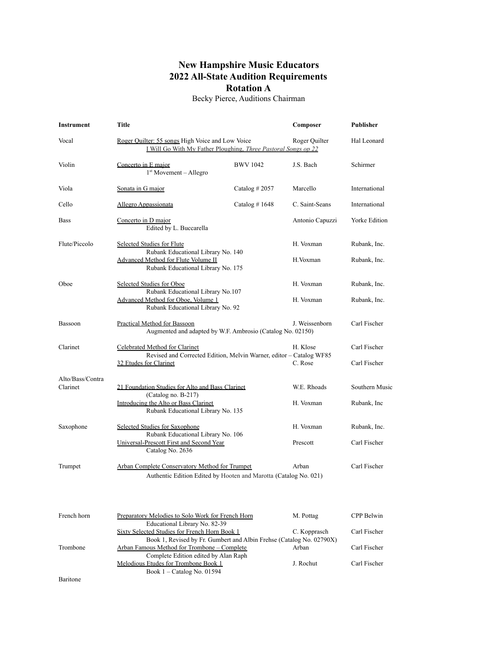## **New Hampshire Music Educators 2022 All-State Audition Requirements Rotation A**

Becky Pierce, Auditions Chairman

| <b>Instrument</b>            | Title                                                                                                                 |                  | Composer        | <b>Publisher</b>     |
|------------------------------|-----------------------------------------------------------------------------------------------------------------------|------------------|-----------------|----------------------|
| Vocal                        | Roger Quilter: 55 songs High Voice and Low Voice<br>I Will Go With My Father Ploughing, Three Pastoral Songs op 22    |                  | Roger Quilter   | Hal Leonard          |
| Violin                       | Concerto in E major<br>1 <sup>st</sup> Movement - Allegro                                                             | <b>BWV 1042</b>  | J.S. Bach       | Schirmer             |
| Viola                        | Sonata in G major                                                                                                     | Catalog $#2057$  | Marcello        | International        |
| Cello                        | Allegro Appassionata                                                                                                  | Catalog # $1648$ | C. Saint-Seans  | International        |
| <b>Bass</b>                  | Concerto in D major<br>Edited by L. Buccarella                                                                        |                  | Antonio Capuzzi | <b>Yorke Edition</b> |
| Flute/Piccolo                | <b>Selected Studies for Flute</b><br>Rubank Educational Library No. 140                                               |                  | H. Voxman       | Rubank, Inc.         |
|                              | Advanced Method for Flute Volume II<br>Rubank Educational Library No. 175                                             |                  | H.Voxman        | Rubank, Inc.         |
| Oboe                         | Selected Studies for Oboe<br>Rubank Educational Library No.107                                                        |                  | H. Voxman       | Rubank, Inc.         |
|                              | Advanced Method for Oboe, Volume 1<br>Rubank Educational Library No. 92                                               |                  | H. Voxman       | Rubank, Inc.         |
| Bassoon                      | Practical Method for Bassoon<br>Augmented and adapted by W.F. Ambrosio (Catalog No. 02150)                            |                  | J. Weissenborn  | Carl Fischer         |
| Clarinet                     | Celebrated Method for Clarinet<br>Revised and Corrected Edition, Melvin Warner, editor - Catalog WF85                 |                  | H. Klose        | Carl Fischer         |
|                              | 32 Etudes for Clarinet                                                                                                |                  | C. Rose         | Carl Fischer         |
| Alto/Bass/Contra<br>Clarinet | 21 Foundation Studies for Alto and Bass Clarinet<br>(Catalog no. B-217)                                               |                  | W.E. Rhoads     | Southern Music       |
|                              | Introducing the Alto or Bass Clarinet<br>Rubank Educational Library No. 135                                           |                  | H. Voxman       | Rubank, Inc.         |
| Saxophone                    | Selected Studies for Saxophone<br>Rubank Educational Library No. 106                                                  |                  | H. Voxman       | Rubank, Inc.         |
|                              | Universal-Prescott First and Second Year<br>Catalog No. 2636                                                          |                  | Prescott        | Carl Fischer         |
| Trumpet                      | <b>Arban Complete Conservatory Method for Trumpet</b>                                                                 |                  | Arban           | Carl Fischer         |
|                              | Authentic Edition Edited by Hooten and Marotta (Catalog No. 021)                                                      |                  |                 |                      |
| French horn                  | Preparatory Melodies to Solo Work for French Horn<br>Educational Library No. 82-39                                    |                  | M. Pottag       | CPP Belwin           |
|                              | Sixty Selected Studies for French Horn Book 1<br>Book 1, Revised by Fr. Gumbert and Albin Frehse (Catalog No. 02790X) |                  | C. Kopprasch    | Carl Fischer         |
| Trombone                     | Arban Famous Method for Trombone - Complete<br>Complete Edition edited by Alan Raph                                   |                  | Arban           | Carl Fischer         |
|                              | Melodious Etudes for Trombone Book 1<br>Book 1 - Catalog No. 01594                                                    |                  | J. Rochut       | Carl Fischer         |
| Baritone                     |                                                                                                                       |                  |                 |                      |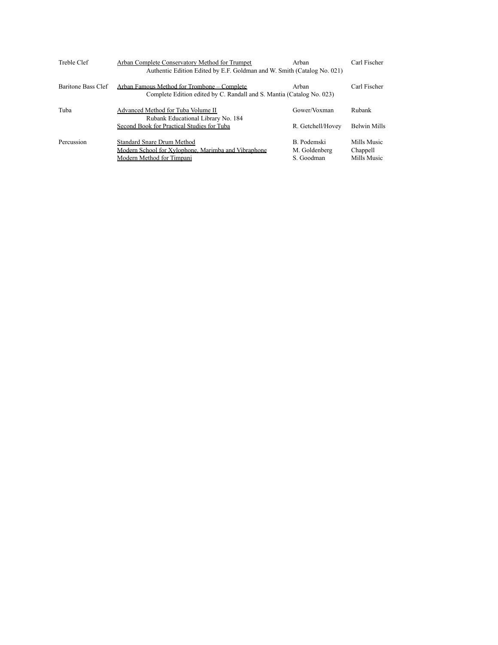| Treble Clef        | Arban Complete Conservatory Method for Trumpet<br>Authentic Edition Edited by E.F. Goldman and W. Smith (Catalog No. 021) | Arban                                      | Carl Fischer                           |
|--------------------|---------------------------------------------------------------------------------------------------------------------------|--------------------------------------------|----------------------------------------|
| Baritone Bass Clef | Arban Famous Method for Trombone – Complete<br>Complete Edition edited by C. Randall and S. Mantia (Catalog No. 023)      | Arban                                      | Carl Fischer                           |
| Tuba               | Advanced Method for Tuba Volume II<br>Rubank Educational Library No. 184                                                  | Gower/Voxman                               | Rubank                                 |
|                    | Second Book for Practical Studies for Tuba                                                                                | R. Getchell/Hovey                          | Belwin Mills                           |
| Percussion         | Standard Snare Drum Method<br>Modern School for Xylophone, Marimba and Vibraphone<br>Modern Method for Timpani            | B. Podemski<br>M. Goldenberg<br>S. Goodman | Mills Music<br>Chappell<br>Mills Music |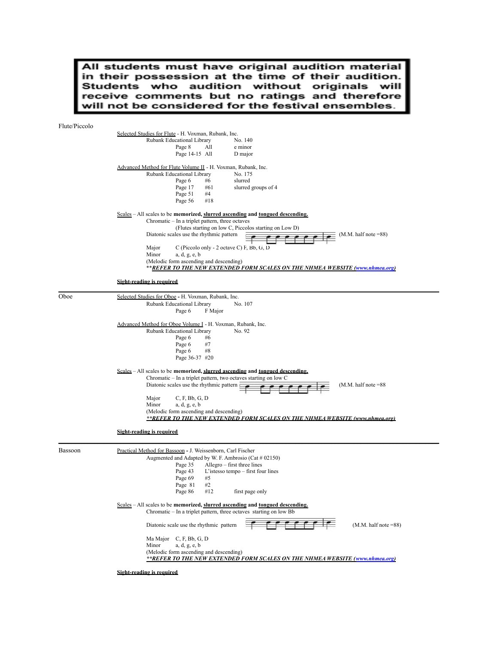All students must have original audition material In students must have original addition material<br>in their possession at the time of their audition.<br>Students who audition without originals will<br>receive comments but no ratings and therefore<br>will not be considered for the

 $F<sub>l</sub>$ 

| Flute/Piccolo |                                                                                                                                                |
|---------------|------------------------------------------------------------------------------------------------------------------------------------------------|
|               | Selected Studies for Flute - H. Voxman, Rubank, Inc.                                                                                           |
|               | Rubank Educational Library<br>No. 140                                                                                                          |
|               | Page 8<br>e minor<br>All                                                                                                                       |
|               | Page 14-15 All<br>D major                                                                                                                      |
|               | Advanced Method for Flute Volume II - H. Voxman, Rubank, Inc.                                                                                  |
|               | Rubank Educational Library<br>No. 175                                                                                                          |
|               | Page 6<br>slurred<br>#6                                                                                                                        |
|               | Page 17<br>slurred groups of 4<br>#61                                                                                                          |
|               | Page 51<br>#4                                                                                                                                  |
|               | Page 56<br>#18                                                                                                                                 |
|               | Scales – All scales to be memorized, slurred ascending and tongued descending.                                                                 |
|               | Chromatic - In a triplet pattern, three octaves                                                                                                |
|               | (Flutes starting on low C, Piccolos starting on Low D)                                                                                         |
|               | Diatonic scales use the rhythmic pattern<br>$(M.M.$ half note $=88$ )                                                                          |
|               |                                                                                                                                                |
|               | Major<br>$C$ (Piccolo only - 2 octave C) F, Bb, G, D<br>Minor<br>a, d, g, e, b                                                                 |
|               | (Melodic form ascending and descending)                                                                                                        |
|               | **REFER TO THE NEW EXTENDED FORM SCALES ON THE NHMEA WEBSITE (www.nhmea.org)                                                                   |
|               |                                                                                                                                                |
|               | Sight-reading is required                                                                                                                      |
| Oboe          | Selected Studies for Oboe - H. Voxman, Rubank, Inc.                                                                                            |
|               | Rubank Educational Library<br>No. 107                                                                                                          |
|               | Page 6<br>F Major                                                                                                                              |
|               |                                                                                                                                                |
|               | Advanced Method for Oboe Volume I - H. Voxman, Rubank, Inc.                                                                                    |
|               | Rubank Educational Library<br>No. 92<br>Page 6<br>#6                                                                                           |
|               | Page 6<br>#7                                                                                                                                   |
|               | Page 6<br>#8                                                                                                                                   |
|               | Page 36-37 #20                                                                                                                                 |
|               |                                                                                                                                                |
|               | Scales – All scales to be memorized, slurred ascending and tongued descending.                                                                 |
|               | Chromatic - In a triplet pattern, two octaves starting on low C<br>Diatonic scales use the rhythmic pattern $\bar{F}$<br>$(M.M.$ half note =88 |
|               |                                                                                                                                                |
|               | C, F, Bb, G, D<br>Major                                                                                                                        |
|               | Minor<br>a, d, g, e, b                                                                                                                         |
|               | (Melodic form ascending and descending)                                                                                                        |
|               | **REFER TO THE NEW EXTENDED FORM SCALES ON THE NHMEA WEBSITE (www.nhmea.org)                                                                   |
|               | <b>Sight-reading is required</b>                                                                                                               |
|               |                                                                                                                                                |
| Bassoon       | Practical Method for Bassoon - J. Weissenborn, Carl Fischer                                                                                    |
|               | Augmented and Adapted by W. F. Ambrosio (Cat # 02150)                                                                                          |
|               | Page 35<br>Allegro – first three lines                                                                                                         |
|               | Page 43<br>L'istesso tempo - first four lines                                                                                                  |
|               | Page 69<br>#5                                                                                                                                  |
|               | Page 81<br>#2                                                                                                                                  |
|               | Page 86<br>#12<br>first page only                                                                                                              |
|               | $Scales - All scales$ to be memorized, slurred ascending and tongued descending.                                                               |
|               | Chromatic – In a triplet pattern, three octaves starting on low Bb                                                                             |
|               |                                                                                                                                                |
|               | Diatonic scale use the rhythmic pattern<br>$(M.M. half note = 88)$                                                                             |
|               | Ma Major C, F, Bb, G, D                                                                                                                        |
|               | Minor<br>a, d, g, e, b                                                                                                                         |
|               | (Melodic form ascending and descending)                                                                                                        |
|               | **REFER TO THE NEW EXTENDED FORM SCALES ON THE NHMEA WEBSITE (www.nhmea.org)                                                                   |
|               |                                                                                                                                                |

**Sight-reading is required**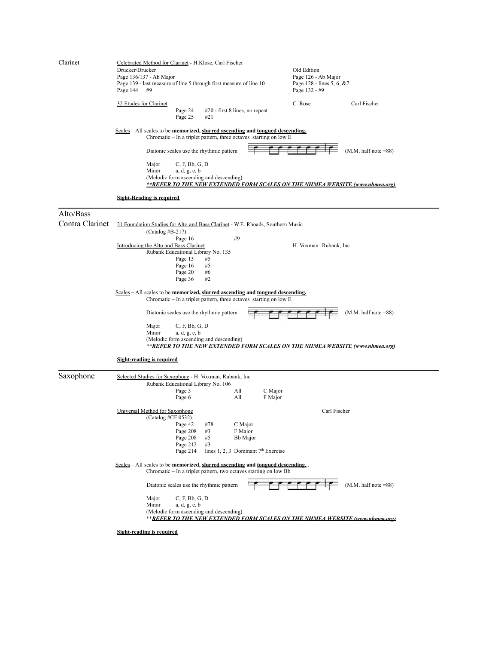| Clarinet                     | Celebrated Method for Clarinet - H.Klose, Carl Fischer<br>Drucker/Drucker<br>Page 136/137 - Ab Major<br>Page 139 - last measure of line 5 through first measure of line 10<br>Page 144<br>#9                                                          | Old Edition<br>Page 126 - Ab Major<br>Page 128 - lines 5, 6, &7<br>Page 132 - #9 |  |  |  |  |
|------------------------------|-------------------------------------------------------------------------------------------------------------------------------------------------------------------------------------------------------------------------------------------------------|----------------------------------------------------------------------------------|--|--|--|--|
|                              | 32 Etudes for Clarinet<br>Page 24<br>#20 - first 8 lines, no repeat<br>Page 25<br>#21                                                                                                                                                                 | C. Rose<br>Carl Fischer                                                          |  |  |  |  |
|                              | <u>Scales</u> – All scales to be memorized, slurred ascending and <u>tongued descending.</u><br>Chromatic – In a triplet pattern, three octaves starting on low E                                                                                     |                                                                                  |  |  |  |  |
|                              | Diatonic scales use the rhythmic pattern                                                                                                                                                                                                              | $(M.M.$ half note $=88$ )                                                        |  |  |  |  |
|                              | Major<br>C, F, Bb, G, D<br>Minor<br>a, d, g, e, b<br>(Melodic form ascending and descending)<br>**REFER TO THE NEW EXTENDED FORM SCALES ON THE NHMEA WEBSITE (www.nhmea.org)                                                                          |                                                                                  |  |  |  |  |
|                              | <b>Sight-Reading is required</b>                                                                                                                                                                                                                      |                                                                                  |  |  |  |  |
| Alto/Bass<br>Contra Clarinet | 21 Foundation Studies for Alto and Bass Clarinet - W.E. Rhoads, Southern Music                                                                                                                                                                        |                                                                                  |  |  |  |  |
|                              | $(Catalog #B-217)$<br>#9<br>Page 16<br>Introducing the Alto and Bass Clarinet<br>Rubank Educational Library No. 135<br>#5<br>Page 13<br>Page 16<br>#5<br>Page 20<br>#6<br>Page 36<br>#2                                                               | H. Voxman Rubank, Inc.                                                           |  |  |  |  |
|                              | <u>Scales</u> – All scales to be memorized, slurred ascending and <u>tongued descending.</u><br>Chromatic - In a triplet pattern, three octaves starting on low E                                                                                     |                                                                                  |  |  |  |  |
|                              | $(M.M.$ half note $=88$ )<br>Diatonic scales use the rhythmic pattern<br>Major<br>C, F, Bb, G, D<br>Minor<br>a, d, g, e, b<br>(Melodic form ascending and descending)<br>**REFER TO THE NEW EXTENDED FORM SCALES ON THE NHMEA WEBSITE (www.nhmea.org) |                                                                                  |  |  |  |  |
|                              | Sight-reading is required                                                                                                                                                                                                                             |                                                                                  |  |  |  |  |
| Saxophone                    | Selected Studies for Saxophone - H. Voxman, Rubank, Inc.<br>Rubank Educational Library No. 106<br>C Major<br>Page 3<br>All<br>Page 6<br>All<br>F Major                                                                                                |                                                                                  |  |  |  |  |
|                              | Universal Method for Saxophone<br>(Catalog #CF 0532)<br>Page 42<br>#78<br>C Major<br>Page 208<br>#3<br>F Major<br>Page 208<br>#5<br>Bb Major<br>Page 212<br>#3<br>lines 1, 2, 3 Dominant $7th$ Exercise<br>Page 214                                   | Carl Fischer                                                                     |  |  |  |  |
|                              | Scales – All scales to be memorized, slurred ascending and tongued descending.<br>Chromatic – In a triplet pattern, two octaves starting on low Bb                                                                                                    |                                                                                  |  |  |  |  |
|                              | Diatonic scales use the rhythmic pattern<br>C, F, Bb, G, D<br>Major<br>a, d, g, e, b<br>Minor<br>(Melodic form ascending and descending)<br>**REFER TO THE NEW EXTENDED FORM SCALES ON THE NHMEA WEBSITE (www.nhmea.org)<br>Sight-reading is required | $\Gamma$ $\Gamma$ $\Gamma$ $\Gamma$<br>$(M.M.$ half note $=88$ )                 |  |  |  |  |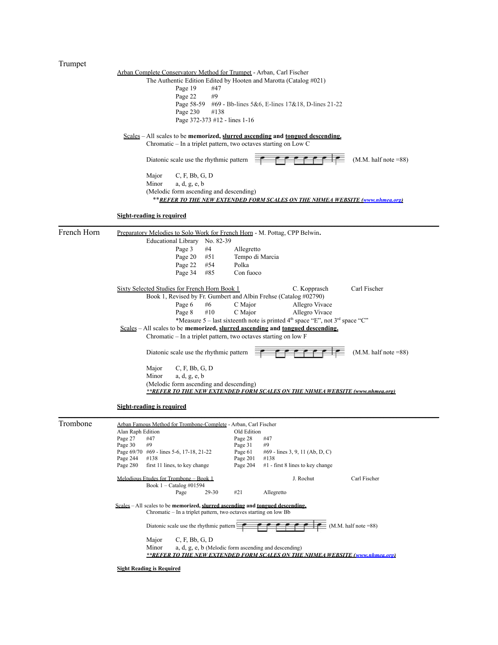$\overline{a}$ 

| Trumpet     |                                                                                                                                                    |  |  |  |  |  |
|-------------|----------------------------------------------------------------------------------------------------------------------------------------------------|--|--|--|--|--|
|             | Arban Complete Conservatory Method for Trumpet - Arban, Carl Fischer                                                                               |  |  |  |  |  |
|             | The Authentic Edition Edited by Hooten and Marotta (Catalog #021)                                                                                  |  |  |  |  |  |
|             | Page 19<br>#47                                                                                                                                     |  |  |  |  |  |
|             | #9<br>Page 22                                                                                                                                      |  |  |  |  |  |
|             | Page 58-59<br>#69 - Bb-lines 5&6, E-lines 17&18, D-lines 21-22                                                                                     |  |  |  |  |  |
|             | Page 230<br>#138                                                                                                                                   |  |  |  |  |  |
|             | Page 372-373 #12 - lines 1-16                                                                                                                      |  |  |  |  |  |
|             | $Scales - All scales$ to be memorized, slurred ascending and tongued descending.                                                                   |  |  |  |  |  |
|             | Chromatic - In a triplet pattern, two octaves starting on Low C                                                                                    |  |  |  |  |  |
|             |                                                                                                                                                    |  |  |  |  |  |
|             | $(M.M. half note = 88)$<br>Diatonic scale use the rhythmic pattern                                                                                 |  |  |  |  |  |
|             | C, F, Bb, G, D<br>Major                                                                                                                            |  |  |  |  |  |
|             | Minor<br>a, d, g, e, b                                                                                                                             |  |  |  |  |  |
|             | (Melodic form ascending and descending)                                                                                                            |  |  |  |  |  |
|             | **REFER TO THE NEW EXTENDED FORM SCALES ON THE NHMEA WEBSITE (www.nhmea.org)                                                                       |  |  |  |  |  |
|             | <b>Sight-reading is required</b>                                                                                                                   |  |  |  |  |  |
| French Horn | Preparatory Melodies to Solo Work for French Horn - M. Pottag, CPP Belwin.                                                                         |  |  |  |  |  |
|             | <b>Educational Library</b><br>No. 82-39                                                                                                            |  |  |  |  |  |
|             | #4<br>Page 3<br>Allegretto                                                                                                                         |  |  |  |  |  |
|             | Tempo di Marcia<br>Page 20<br>#51                                                                                                                  |  |  |  |  |  |
|             | Polka<br>Page 22<br>#54                                                                                                                            |  |  |  |  |  |
|             | Page 34<br>#85<br>Con fuoco                                                                                                                        |  |  |  |  |  |
|             | Carl Fischer<br>Sixty Selected Studies for French Horn Book 1<br>C. Kopprasch                                                                      |  |  |  |  |  |
|             | Book 1, Revised by Fr. Gumbert and Albin Frehse (Catalog #02790)                                                                                   |  |  |  |  |  |
|             | Allegro Vivace<br>Page 6<br>#6<br>C Major                                                                                                          |  |  |  |  |  |
|             | #10<br>C Major<br>Allegro Vivace<br>Page 8                                                                                                         |  |  |  |  |  |
|             | *Measure 5 – last sixteenth note is printed $4th$ space "E", not $3rd$ space "C"                                                                   |  |  |  |  |  |
|             | Scales - All scales to be memorized, slurred ascending and tongued descending.                                                                     |  |  |  |  |  |
|             | Chromatic – In a triplet pattern, two octaves starting on low F                                                                                    |  |  |  |  |  |
|             | $(M.M. half note = 88)$<br>Diatonic scale use the rhythmic pattern                                                                                 |  |  |  |  |  |
|             | C, F, Bb, G, D<br>Major                                                                                                                            |  |  |  |  |  |
|             | Minor<br>a, d, g, e, b                                                                                                                             |  |  |  |  |  |
|             | (Melodic form ascending and descending)                                                                                                            |  |  |  |  |  |
|             | **REFER TO THE NEW EXTENDED FORM SCALES ON THE NHMEA WEBSITE (www.nhmea.org)                                                                       |  |  |  |  |  |
|             | Sight-reading is required                                                                                                                          |  |  |  |  |  |
|             |                                                                                                                                                    |  |  |  |  |  |
| Trombone    | Arban Famous Method for Trombone-Complete - Arban, Carl Fischer                                                                                    |  |  |  |  |  |
|             | Alan Raph Edition<br>Old Edition<br>Page 28<br>Page 27<br>#47<br>#47                                                                               |  |  |  |  |  |
|             | Page 30<br>#9<br>Page 31<br>#9                                                                                                                     |  |  |  |  |  |
|             | Page 61<br>Page 69/70 #69 - lines 5-6, 17-18, 21-22<br>#69 - lines 3, 9, 11 (Ab, D, C)                                                             |  |  |  |  |  |
|             | Page 244<br>#138<br>Page 201<br>#138                                                                                                               |  |  |  |  |  |
|             | first 11 lines, to key change<br>#1 - first 8 lines to key change<br>Page 280<br>Page 204                                                          |  |  |  |  |  |
|             | Carl Fischer<br>Melodious Etudes for Trombone - Book 1<br>J. Rochut                                                                                |  |  |  |  |  |
|             | Book 1 - Catalog #01594<br>#21<br>Page<br>29-30<br>Allegretto                                                                                      |  |  |  |  |  |
|             |                                                                                                                                                    |  |  |  |  |  |
|             | Scales – All scales to be memorized, slurred ascending and tongued descending.<br>Chromatic – In a triplet pattern, two octaves starting on low Bb |  |  |  |  |  |
|             | $M.M.$ half note =88)<br>Diatonic scale use the rhythmic pattern                                                                                   |  |  |  |  |  |
|             | Major<br>C, F, Bb, G, D                                                                                                                            |  |  |  |  |  |
|             | Minor<br>a, d, g, e, b (Melodic form ascending and descending)                                                                                     |  |  |  |  |  |
|             | <b>**REFER TO THE NEW EXTENDED FORM SCALES ON THE NHMEA WEBSITE (www.nhmea.org)</b>                                                                |  |  |  |  |  |
|             |                                                                                                                                                    |  |  |  |  |  |

**Sight Reading is Required**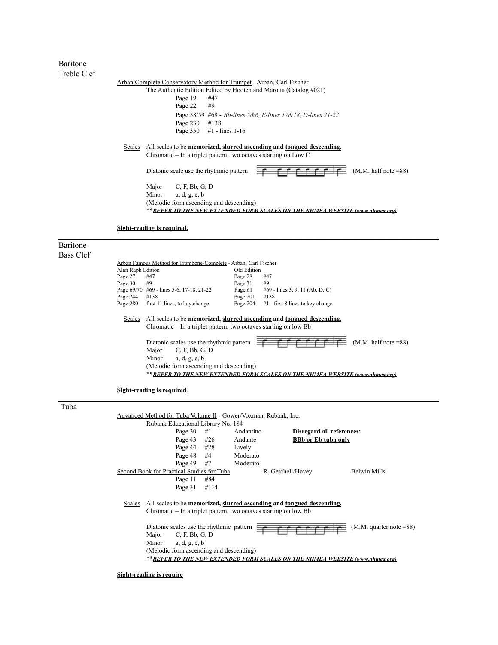Baritone Treble Clef

|                                         | Arban Complete Conservatory Method for Trumpet - Arban, Carl Fischer                                             |
|-----------------------------------------|------------------------------------------------------------------------------------------------------------------|
|                                         | The Authentic Edition Edited by Hooten and Marotta (Catalog #021)                                                |
| Page 19                                 | #47                                                                                                              |
| Page 22 $\#9$                           |                                                                                                                  |
|                                         | Page 58/59 #69 - Bb-lines 5&6, E-lines 17&18, D-lines 21-22                                                      |
| Page 230 #138                           |                                                                                                                  |
|                                         | Page $350 + 1$ - lines 1-16                                                                                      |
| Diatonic scale use the rhythmic pattern | Chromatic $-$ In a triplet pattern, two octaves starting on Low C<br>$(M.M.$ half note $=88$ )<br>e e e e e e le |
| C, F, Bb, G, D<br>Major                 |                                                                                                                  |
| Minor $a, d, g, e, b$                   |                                                                                                                  |
| (Melodic form ascending and descending) |                                                                                                                  |
|                                         | **REFER TO THE NEW EXTENDED FORM SCALES ON THE NHMEA WEBSITE (www.nhmea.org)                                     |
|                                         |                                                                                                                  |
| Sight-reading is required.              |                                                                                                                  |

 $\_$  , and the state of the state of the state of the state of the state of the state of the state of the state of the state of the state of the state of the state of the state of the state of the state of the state of the

Baritone Bass Clef

| Bass Clef |                                                                  |                                                                  |      |             |                                                                                  |                         |
|-----------|------------------------------------------------------------------|------------------------------------------------------------------|------|-------------|----------------------------------------------------------------------------------|-------------------------|
|           |                                                                  | Arban Famous Method for Trombone-Complete - Arban, Carl Fischer  |      |             |                                                                                  |                         |
|           | Alan Raph Edition                                                |                                                                  |      | Old Edition |                                                                                  |                         |
|           | Page 27                                                          | #47                                                              |      | Page 28     | #47                                                                              |                         |
|           | Page 30                                                          | #9                                                               |      | Page 31     | #9                                                                               |                         |
|           |                                                                  | Page 69/70 #69 - lines 5-6, 17-18, 21-22                         |      | Page 61     | #69 - lines 3, 9, 11 (Ab, D, C)                                                  |                         |
|           | Page 244                                                         | #138                                                             |      | Page 201    | #138                                                                             |                         |
|           | Page 280                                                         | first 11 lines, to key change                                    |      | Page 204    | $#1$ - first 8 lines to key change                                               |                         |
|           |                                                                  |                                                                  |      |             | $Scales - All scales to be memorized, slurred ascending and tongued descending.$ |                         |
|           | Chromatic – In a triplet pattern, two octaves starting on low Bb |                                                                  |      |             |                                                                                  |                         |
|           |                                                                  | Diatonic scales use the rhythmic pattern                         |      |             |                                                                                  | $(M.M. half note = 88)$ |
|           |                                                                  | Major<br>C, F, Bb, G, D                                          |      |             |                                                                                  |                         |
|           |                                                                  | Minor<br>a, d, g, e, b                                           |      |             |                                                                                  |                         |
|           |                                                                  | (Melodic form ascending and descending)                          |      |             |                                                                                  |                         |
|           |                                                                  |                                                                  |      |             | **REFER TO THE NEW EXTENDED FORM SCALES ON THE NHMEA WEBSITE (www.nhmea.org)     |                         |
|           |                                                                  |                                                                  |      |             |                                                                                  |                         |
|           |                                                                  | Sight-reading is required.                                       |      |             |                                                                                  |                         |
| Tuba      |                                                                  |                                                                  |      |             |                                                                                  |                         |
|           |                                                                  | Advanced Method for Tuba Volume II - Gower/Voxman, Rubank, Inc.  |      |             |                                                                                  |                         |
|           |                                                                  | Rubank Educational Library No. 184                               |      |             |                                                                                  |                         |
|           |                                                                  | Page 30                                                          | #1   | Andantino   | Disregard all references:                                                        |                         |
|           |                                                                  | Page 43                                                          | #26  | Andante     | <b>BBb</b> or Eb tuba only                                                       |                         |
|           |                                                                  | Page 44                                                          | #28  | Lively      |                                                                                  |                         |
|           |                                                                  | Page 48                                                          | #4   | Moderato    |                                                                                  |                         |
|           |                                                                  |                                                                  |      |             |                                                                                  |                         |
|           |                                                                  | Page 49                                                          | #7   | Moderato    |                                                                                  |                         |
|           |                                                                  | Second Book for Practical Studies for Tuba                       |      |             | R. Getchell/Hovey                                                                | <b>Belwin Mills</b>     |
|           |                                                                  | Page 11                                                          | #84  |             |                                                                                  |                         |
|           |                                                                  | Page 31                                                          | #114 |             |                                                                                  |                         |
|           |                                                                  |                                                                  |      |             | Scales $-All$ scales to be memorized, slurred ascending and tongued descending.  |                         |
|           |                                                                  | Chromatic – In a triplet pattern, two octaves starting on low Bb |      |             |                                                                                  |                         |

Diatonic scales use the rhythmic pattern  $\begin{array}{ccc} \hline \end{array}$   $\begin{array}{ccc} \hline \end{array}$   $\begin{array}{ccc} \hline \end{array}$   $\begin{array}{ccc} \hline \end{array}$   $\begin{array}{ccc} \hline \end{array}$   $\begin{array}{ccc} \hline \end{array}$   $\begin{array}{ccc} \hline \end{array}$   $\begin{array}{ccc} \hline \end{array}$   $\begin{array}{ccc} \hline \end{array}$   $\begin{array}{ccc} \hline \end{array}$  Major C, F, Bb, G, D Minor a, d, g, e, b (Melodic form ascending and descending) \*\**REFER TO THE NEW EXTENDED FORM SCALES ON THE NHMEA WEBSITE (www.nhmea.org)*

**Sight-reading is require**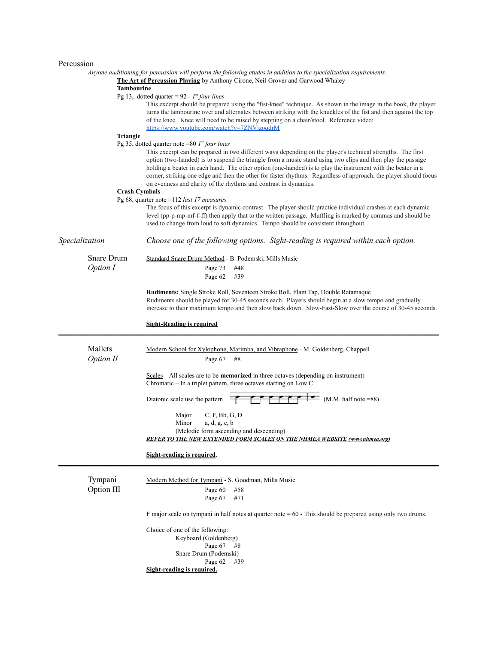## Percussion

|                       | Anyone auditioning for percussion will perform the following etudes in addition to the specialization requirements.<br>The Art of Percussion Playing by Anthony Cirone, Neil Grover and Garwood Whaley                                                                                                                                                                                                                                                                                                                            |
|-----------------------|-----------------------------------------------------------------------------------------------------------------------------------------------------------------------------------------------------------------------------------------------------------------------------------------------------------------------------------------------------------------------------------------------------------------------------------------------------------------------------------------------------------------------------------|
| Tambourine            |                                                                                                                                                                                                                                                                                                                                                                                                                                                                                                                                   |
|                       | Pg 13, dotted quarter = $92 - 1$ <sup>st</sup> four lines<br>This excerpt should be prepared using the "fist-knee" technique. As shown in the image in the book, the player<br>turns the tambourine over and alternates between striking with the knuckles of the fist and then against the top<br>of the knee. Knee will need to be raised by stepping on a chair/stool. Reference video:<br>https://www.youtube.com/watch?v=7ZNVjzoqdrM                                                                                         |
| Triangle              |                                                                                                                                                                                                                                                                                                                                                                                                                                                                                                                                   |
|                       | Pg 35, dotted quarter note =80 $I^{st}$ four lines                                                                                                                                                                                                                                                                                                                                                                                                                                                                                |
|                       | This excerpt can be prepared in two different ways depending on the player's technical strengths. The first<br>option (two-handed) is to suspend the triangle from a music stand using two clips and then play the passage<br>holding a beater in each hand. The other option (one-handed) is to play the instrument with the beater in a<br>corner, striking one edge and then the other for faster rhythms. Regardless of approach, the player should focus<br>on evenness and clarity of the rhythms and contrast in dynamics. |
| <b>Crash Cymbals</b>  |                                                                                                                                                                                                                                                                                                                                                                                                                                                                                                                                   |
|                       | Pg 68, quarter note = $112$ last 17 measures<br>The focus of this excerpt is dynamic contrast. The player should practice individual crashes at each dynamic<br>level (pp-p-mp-mf-f-ff) then apply that to the written passage. Muffling is marked by commas and should be<br>used to change from loud to soft dynamics. Tempo should be consistent throughout.                                                                                                                                                                   |
| Specialization        | Choose one of the following options. Sight-reading is required within each option.                                                                                                                                                                                                                                                                                                                                                                                                                                                |
| Snare Drum            | Standard Snare Drum Method - B. Podemski, Mills Music                                                                                                                                                                                                                                                                                                                                                                                                                                                                             |
| Option I              | Page 73<br>#48                                                                                                                                                                                                                                                                                                                                                                                                                                                                                                                    |
|                       | Page 62<br>#39                                                                                                                                                                                                                                                                                                                                                                                                                                                                                                                    |
|                       | <b>Rudiments:</b> Single Stroke Roll, Seventeen Stroke Roll, Flam Tap, Double Ratamaque<br>Rudiments should be played for 30-45 seconds each. Players should begin at a slow tempo and gradually<br>increase to their maximum tempo and then slow back down. Slow-Fast-Slow over the course of 30-45 seconds.                                                                                                                                                                                                                     |
|                       | <u>Sight-Reading is required</u>                                                                                                                                                                                                                                                                                                                                                                                                                                                                                                  |
|                       |                                                                                                                                                                                                                                                                                                                                                                                                                                                                                                                                   |
| Mallets<br>Option II  | Modern School for Xylophone, Marimba, and Vibraphone - M. Goldenberg, Chappell<br>Page 67<br>#8                                                                                                                                                                                                                                                                                                                                                                                                                                   |
|                       | $Scales - All scales are to be memorized in three octaves (depending on instrument)$<br>Chromatic – In a triplet pattern, three octaves starting on Low C                                                                                                                                                                                                                                                                                                                                                                         |
|                       | $F \upharpoonright F \upharpoonright F$ (M.M. half note =88)<br>Diatonic scale use the pattern                                                                                                                                                                                                                                                                                                                                                                                                                                    |
|                       | C, F, Bb, G, D<br>Major                                                                                                                                                                                                                                                                                                                                                                                                                                                                                                           |
|                       | Minor<br>a, d, g, e, b                                                                                                                                                                                                                                                                                                                                                                                                                                                                                                            |
|                       | (Melodic form ascending and descending)                                                                                                                                                                                                                                                                                                                                                                                                                                                                                           |
|                       | <b>REFER TO THE NEW EXTENDED FORM SCALES ON THE NHMEA WEBSITE (www.nhmea.org)</b>                                                                                                                                                                                                                                                                                                                                                                                                                                                 |
|                       | <b>Sight-reading is required.</b>                                                                                                                                                                                                                                                                                                                                                                                                                                                                                                 |
| Tympani<br>Option III | Modern Method for Tympani - S. Goodman, Mills Music<br>#58<br>Page 60<br>Page 67<br>#71                                                                                                                                                                                                                                                                                                                                                                                                                                           |
|                       | F major scale on tympani in half notes at quarter note $= 60$ - This should be prepared using only two drums.                                                                                                                                                                                                                                                                                                                                                                                                                     |
|                       | Choice of one of the following:<br>Keyboard (Goldenberg)<br>Page 67<br>#8<br>Snare Drum (Podemski)<br>Page 62<br>#39<br>Sight-reading is required.                                                                                                                                                                                                                                                                                                                                                                                |